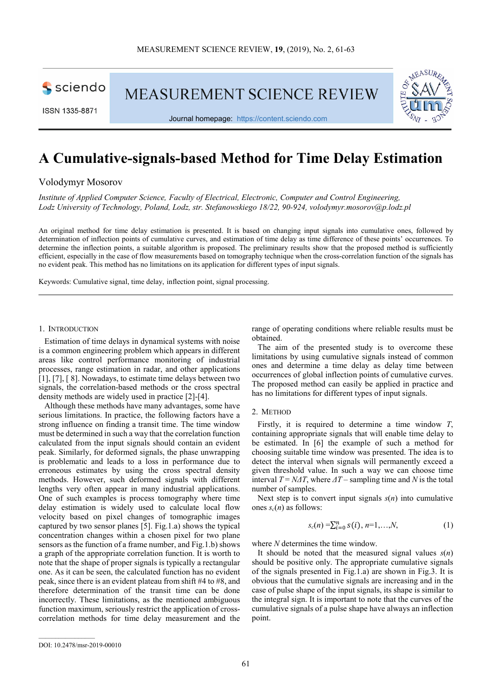sciendo

**MEASUREMENT SCIENCE REVIEW** 



Journal homepage: https://content.sciendo.com



# **A Cumulative-signals-based Method for Time Delay Estimation**

Volodymyr Mosorov

*Institute of Applied Computer Science, Faculty of Electrical, Electronic, Computer and Control Engineering, Lodz University of Technology, Poland, Lodz, str. Stefanowskiego 18/22, 90-924, volodymyr.mosorov@p.lodz.pl* 

An original method for time delay estimation is presented. It is based on changing input signals into cumulative ones, followed by determination of inflection points of cumulative curves, and estimation of time delay as time difference of these points' occurrences. To determine the inflection points, a suitable algorithm is proposed. The preliminary results show that the proposed method is sufficiently efficient, especially in the case of flow measurements based on tomography technique when the cross-correlation function of the signals has no evident peak. This method has no limitations on its application for different types of input signals.

Keywords: Cumulative signal, time delay, inflection point, signal processing.

## 1. INTRODUCTION

Estimation of time delays in dynamical systems with noise is a common engineering problem which appears in different areas like control performance monitoring of industrial processes, range estimation in radar, and other applications [1], [7], [8]. Nowadays, to estimate time delays between two signals, the correlation-based methods or the cross spectral density methods are widely used in practice [2]-[4].

Although these methods have many advantages, some have serious limitations. In practice, the following factors have a strong influence on finding a transit time. The time window must be determined in such a way that the correlation function calculated from the input signals should contain an evident peak. Similarly, for deformed signals, the phase unwrapping is problematic and leads to a loss in performance due to erroneous estimates by using the cross spectral density methods. However, such deformed signals with different lengths very often appear in many industrial applications. One of such examples is process tomography where time delay estimation is widely used to calculate local flow velocity based on pixel changes of tomographic images captured by two sensor planes [5]. Fig.1.a) shows the typical concentration changes within a chosen pixel for two plane sensors as the function of a frame number, and Fig.1.b) shows a graph of the appropriate correlation function. It is worth to note that the shape of proper signals is typically a rectangular one. As it can be seen, the calculated function has no evident peak, since there is an evident plateau from shift #4 to #8, and therefore determination of the transit time can be done incorrectly. These limitations, as the mentioned ambiguous function maximum, seriously restrict the application of crosscorrelation methods for time delay measurement and the

range of operating conditions where reliable results must be obtained.

The aim of the presented study is to overcome these limitations by using cumulative signals instead of common ones and determine a time delay as delay time between occurrences of global inflection points of cumulative curves. The proposed method can easily be applied in practice and has no limitations for different types of input signals.

## 2. METHOD

Firstly, it is required to determine a time window *T*, containing appropriate signals that will enable time delay to be estimated. In [6] the example of such a method for choosing suitable time window was presented. The idea is to detect the interval when signals will permanently exceed a given threshold value. In such a way we can choose time interval  $T = N \Delta T$ , where  $\Delta T$  – sampling time and *N* is the total number of samples.

Next step is to convert input signals  $s(n)$  into cumulative ones  $s_c(n)$  as follows:

$$
s_c(n) = \sum_{i=0}^{n} s(i), n = 1, ..., N,
$$
 (1)

where *N* determines the time window.

It should be noted that the measured signal values *s*(*n*) should be positive only. The appropriate cumulative signals of the signals presented in Fig.1.a) are shown in Fig.3. It is obvious that the cumulative signals are increasing and in the case of pulse shape of the input signals, its shape is similar to the integral sign. It is important to note that the curves of the cumulative signals of a pulse shape have always an inflection point.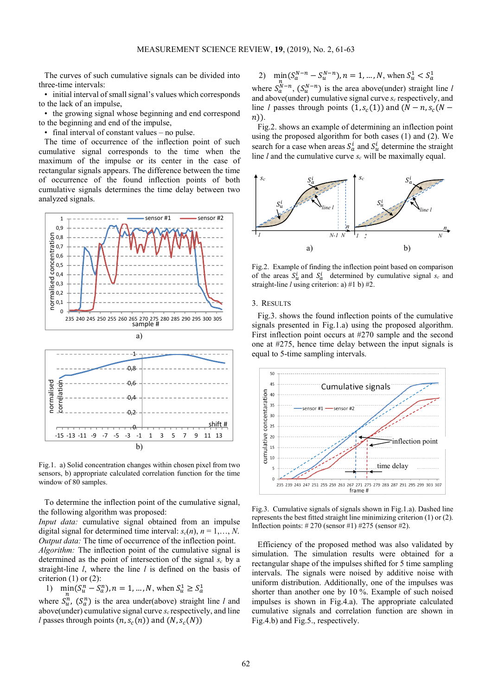The curves of such cumulative signals can be divided into three-time intervals:

• initial interval of small signal's values which corresponds to the lack of an impulse,

• the growing signal whose beginning and end correspond to the beginning and end of the impulse,

• final interval of constant values – no pulse.

The time of occurrence of the inflection point of such cumulative signal corresponds to the time when the maximum of the impulse or its center in the case of rectangular signals appears. The difference between the time of occurrence of the found inflection points of both cumulative signals determines the time delay between two analyzed signals.



Fig.1. a) Solid concentration changes within chosen pixel from two sensors, b) appropriate calculated correlation function for the time window of 80 samples.

To determine the inflection point of the cumulative signal, the following algorithm was proposed:

*Input data:* cumulative signal obtained from an impulse digital signal for determined time interval:  $s_c(n)$ ,  $n = 1,..., N$ . *Output data:* The time of occurrence of the inflection point.

*Algorithm:* The inflection point of the cumulative signal is determined as the point of intersection of the signal  $s_c$  by a straight-line *l*, where the line *l* is defined on the basis of criterion  $(1)$  or  $(2)$ :

1)  $\min_{\alpha} (S_u^n - S_a^n), n = 1, ..., N$ , when  $S_u^1 \ge S_a^1$ 

where  $S_n^n$ ,  $(S_a^n)$  is the area under(above) straight line *l* and above(under) cumulative signal curve *sc* respectively, and line *l* passes through points  $(n, s_c(n))$  and  $(N, s_c(N))$ 

2)  $\min_{n} (S_a^{N-n} - S_a^{N-n}), n = 1, ..., N$ , when  $S_u^1 < S_a^1$ where  $S_{\alpha}^{N-n}$ ,  $(S_{\alpha}^{N-n})$  is the area above(under) straight line *l* and above(under) cumulative signal curve *sc* respectively, and line *l* passes through points  $(1, s_c(1))$  and  $(N - n, s_c(N$  $n)$ ).

Fig.2. shows an example of determining an inflection point using the proposed algorithm for both cases (1) and (2). We search for a case when areas  $S_a^i$  and  $S_u^i$  determine the straight line *l* and the cumulative curve *sc* will be maximally equal.



Fig.2. Example of finding the inflection point based on comparison of the areas  $S_u^i$  and  $S_d^i$  determined by cumulative signal  $s_c$  and straight-line *l* using criterion: a) #1 b) #2.

## 3. RESULTS

Fig.3. shows the found inflection points of the cumulative signals presented in Fig.1.a) using the proposed algorithm. First inflection point occurs at #270 sample and the second one at #275, hence time delay between the input signals is equal to 5-time sampling intervals.



Fig.3. Cumulative signals of signals shown in Fig.1.a). Dashed line represents the best fitted straight line minimizing criterion (1) or (2). Inflection points: # 270 (sensor #1) #275 (sensor #2).

Efficiency of the proposed method was also validated by simulation. The simulation results were obtained for a rectangular shape of the impulses shifted for 5 time sampling intervals. The signals were noised by additive noise with uniform distribution. Additionally, one of the impulses was shorter than another one by 10 %. Example of such noised impulses is shown in Fig.4.a). The appropriate calculated cumulative signals and correlation function are shown in Fig.4.b) and Fig.5., respectively.